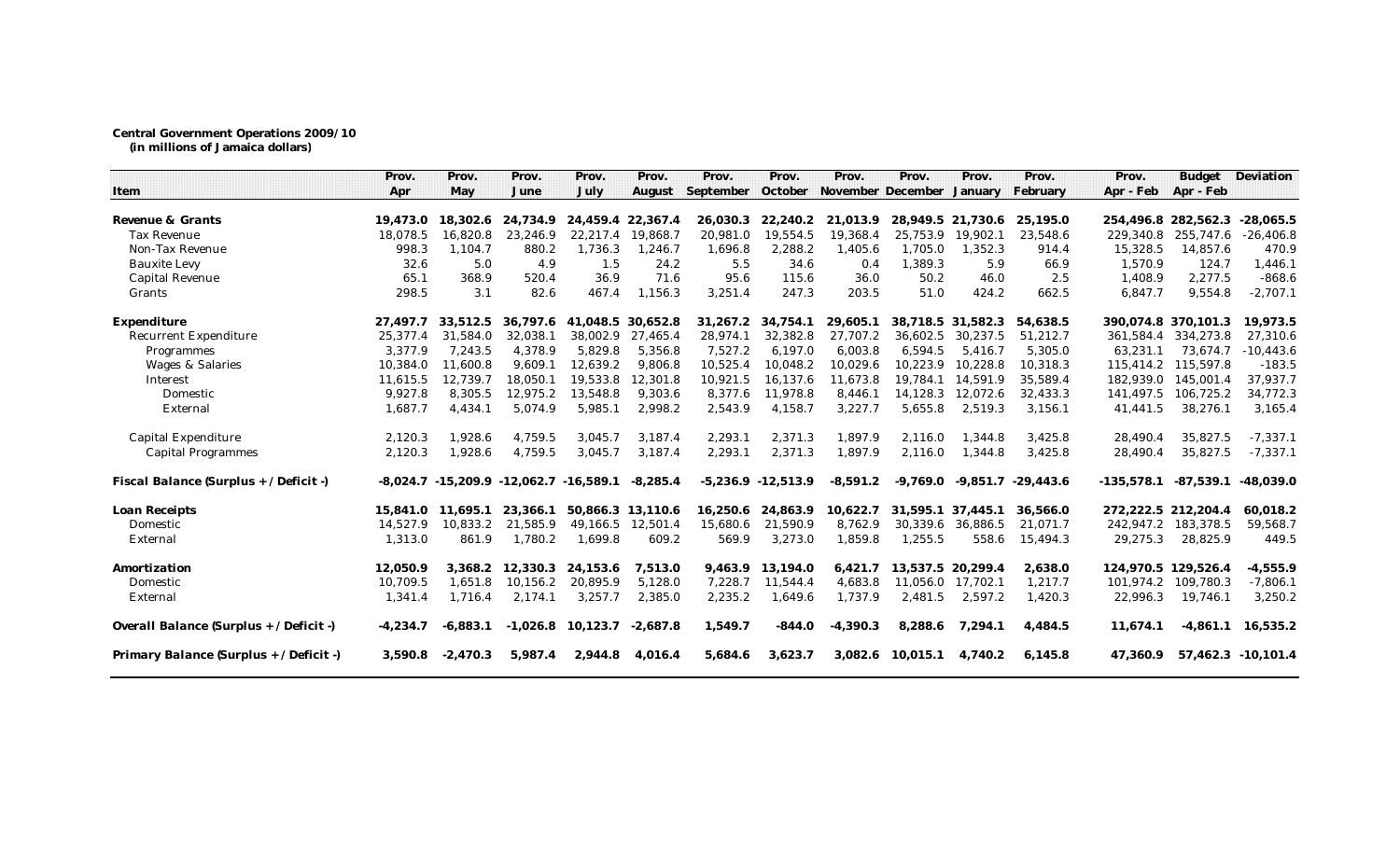## **Central Government Operations 2009/10 (in millions of Jamaica dollars)**

|                                         | Prov.      | Prov.       | Prov.       | Prov.       | Prov.      | Prov.     | Prov.                  | Prov.                     | Prov.             | Prov.             | Prov.       | Prov.               | <b>Budget</b> | Deviation          |
|-----------------------------------------|------------|-------------|-------------|-------------|------------|-----------|------------------------|---------------------------|-------------------|-------------------|-------------|---------------------|---------------|--------------------|
| Item                                    | Apr        | May         | June        | July        | August     | September | October                | November December January |                   |                   | February    | Apr - Feb           | Apr - Feb     |                    |
| Revenue & Grants                        | 19,473.0   | 18.302.6    | 24.734.9    | 24.459.4    | 22,367.4   | 26.030.3  | 22.240.2               | 21.013.9                  | 28.949.5 21.730.6 |                   | 25,195.0    | 254.496.8           | 282,562.3     | $-28.065.5$        |
| Tax Revenue                             | 18,078.5   | 16,820.8    | 23,246.9    | 22,217.4    | 19,868.7   | 20,981.0  | 19,554.5               | 19,368.4                  | 25,753.9          | 19,902.1          | 23,548.6    | 229,340.8           | 255,747.6     | $-26,406.8$        |
| Non-Tax Revenue                         | 998.3      | 1.104.7     | 880.2       | 1,736.3     | 1,246.7    | 1,696.8   | 2,288.2                | 1,405.6                   | 1,705.0           | 1.352.3           | 914.4       | 15,328.5            | 14,857.6      | 470.9              |
| <b>Bauxite Levy</b>                     | 32.6       | 5.0         | 4.9         | 1.5         | 24.2       | 5.5       | 34.6                   | 0.4                       | 1,389.3           | 5.9               | 66.9        | 1.570.9             | 124.7         | 1,446.1            |
| <b>Capital Revenue</b>                  | 65.1       | 368.9       | 520.4       | 36.9        | 71.6       | 95.6      | 115.6                  | 36.0                      | 50.2              | 46.0              | 2.5         | 1,408.9             | 2,277.5       | $-868.6$           |
| Grants                                  | 298.5      | 3.1         | 82.6        | 467.4       | 1,156.3    | 3,251.4   | 247.3                  | 203.5                     | 51.0              | 424.2             | 662.5       | 6,847.7             | 9,554.8       | $-2,707.1$         |
| Expenditure                             | 27,497.7   | 33,512.5    | 36,797.6    | 41,048.5    | 30,652.8   | 31,267.2  | 34,754.1               | 29,605.1                  | 38,718.5 31,582.3 |                   | 54,638.5    | 390.074.8           | 370,101.3     | 19,973.5           |
| <b>Recurrent Expenditure</b>            | 25.377.4   | 31.584.0    | 32.038.1    | 38.002.9    | 27.465.4   | 28,974.1  | 32.382.8               | 27.707.2                  | 36.602.5          | 30.237.5          | 51,212.7    | 361.584.4           | 334,273.8     | 27,310.6           |
| Programmes                              | 3.377.9    | 7.243.5     | 4.378.9     | 5.829.8     | 5.356.8    | 7,527.2   | 6.197.0                | 6.003.8                   | 6.594.5           | 5.416.7           | 5,305.0     | 63,231.1            | 73.674.7      | $-10,443.6$        |
| Wages & Salaries                        | 10,384.0   | 11.600.8    | 9.609.1     | 12,639.2    | 9.806.8    | 10,525.4  | 10.048.2               | 10,029.6                  | 10,223.9          | 10.228.8          | 10,318.3    | 115,414.2           | 115,597.8     | $-183.5$           |
| Interest                                | 11,615.5   | 12,739.7    | 18,050.1    | 19,533.8    | 12,301.8   | 10,921.5  | 16,137.6               | 11,673.8                  | 19,784.1          | 14,591.9          | 35,589.4    | 182,939.0           | 145,001.4     | 37,937.7           |
| Domestic                                | 9,927.8    | 8,305.5     | 12,975.2    | 13,548.8    | 9,303.6    | 8,377.6   | 11,978.8               | 8,446.1                   |                   | 14,128.3 12,072.6 | 32,433.3    | 141,497.5           | 106,725.2     | 34,772.3           |
| External                                | 1,687.7    | 4,434.1     | 5,074.9     | 5,985.1     | 2,998.2    | 2,543.9   | 4,158.7                | 3,227.7                   | 5,655.8           | 2,519.3           | 3,156.1     | 41,441.5            | 38,276.1      | 3,165.4            |
| Capital Expenditure                     | 2,120.3    | 1,928.6     | 4,759.5     | 3.045.7     | 3.187.4    | 2,293.1   | 2,371.3                | 1,897.9                   | 2,116.0           | 1.344.8           | 3,425.8     | 28,490.4            | 35,827.5      | $-7,337.1$         |
| <b>Capital Programmes</b>               | 2,120.3    | 1,928.6     | 4,759.5     | 3,045.7     | 3,187.4    | 2,293.1   | 2,371.3                | 1,897.9                   | 2,116.0           | 1,344.8           | 3,425.8     | 28,490.4            | 35,827.5      | $-7,337.1$         |
| Fiscal Balance (Surplus + / Deficit -)  | $-8,024.7$ | $-15,209.9$ | $-12,062.7$ | $-16,589.1$ | $-8,285.4$ |           | $-5,236.9$ $-12,513.9$ | $-8,591.2$                | -9,769.0          | $-9.851.7$        | $-29,443.6$ | $-135,578.1$        | $-87,539.1$   | $-48,039.0$        |
| Loan Receipts                           | 15,841.0   | 11.695.1    | 23.366.1    | 50.866.3    | 13.110.6   | 16,250.6  | 24.863.9               | 10,622.7                  | 31.595.1          | 37.445.1          | 36,566.0    | 272.222.5 212.204.4 |               | 60,018.2           |
| Domestic                                | 14,527.9   | 10,833.2    | 21,585.9    | 49,166.5    | 12,501.4   | 15,680.6  | 21,590.9               | 8,762.9                   | 30,339.6          | 36,886.5          | 21,071.7    | 242,947.2           | 183,378.5     | 59,568.7           |
| External                                | 1,313.0    | 861.9       | 1,780.2     | 1,699.8     | 609.2      | 569.9     | 3,273.0                | 1,859.8                   | 1,255.5           | 558.6             | 15,494.3    | 29,275.3            | 28,825.9      | 449.5              |
| Amortization                            | 12,050.9   | 3,368.2     | 12,330.3    | 24,153.6    | 7,513.0    | 9,463.9   | 13,194.0               | 6,421.7                   | 13,537.5 20,299.4 |                   | 2,638.0     | 124,970.5           | 129,526.4     | $-4,555.9$         |
| Domestic                                | 10.709.5   | 1.651.8     | 10,156.2    | 20.895.9    | 5.128.0    | 7,228.7   | 11.544.4               | 4,683.8                   | 11.056.0          | 17.702.1          | 1,217.7     | 101.974.2           | 109.780.3     | $-7,806.1$         |
| External                                | 1,341.4    | 1,716.4     | 2,174.1     | 3,257.7     | 2,385.0    | 2,235.2   | 1,649.6                | 1,737.9                   | 2,481.5           | 2,597.2           | 1,420.3     | 22,996.3            | 19,746.1      | 3,250.2            |
| Overall Balance (Surplus + / Deficit -) | $-4,234.7$ | $-6.883.1$  | $-1.026.8$  | 10,123.7    | $-2.687.8$ | 1,549.7   | $-844.0$               | $-4,390.3$                | 8,288.6           | 7,294.1           | 4,484.5     | 11,674.1            | $-4,861.1$    | 16,535.2           |
| Primary Balance (Surplus + / Deficit -) | 3,590.8    | $-2.470.3$  | 5,987.4     | 2.944.8     | 4.016.4    | 5.684.6   | 3.623.7                | 3.082.6                   | 10.015.1          | 4.740.2           | 6,145.8     | 47.360.9            |               | 57.462.3 -10.101.4 |